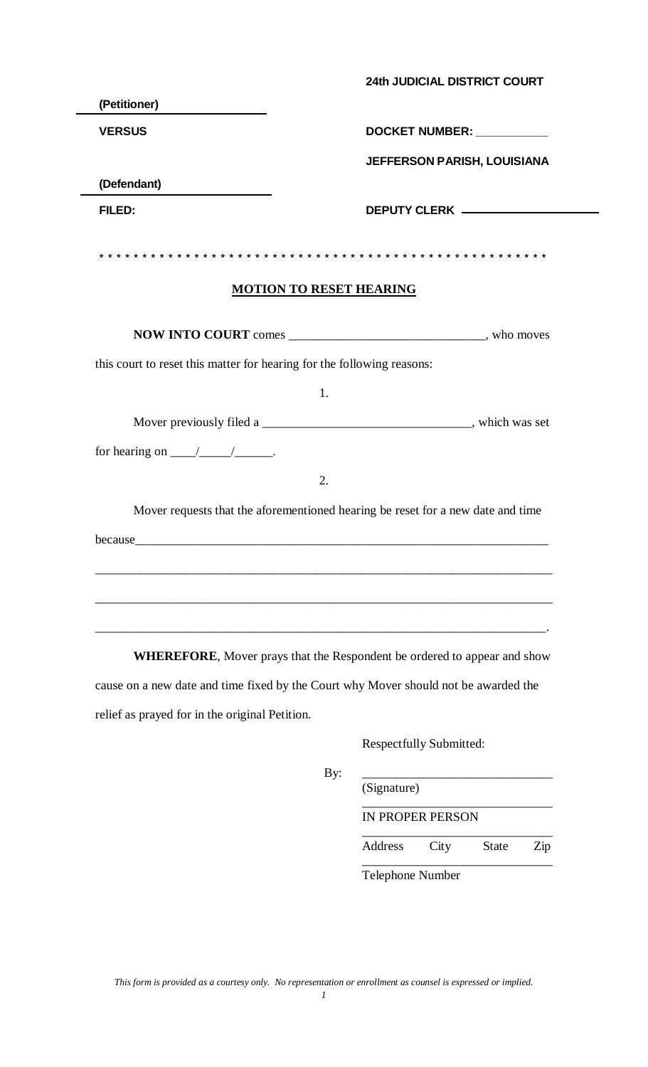|                                                                                     | <b>24th JUDICIAL DISTRICT COURT</b>                                              |
|-------------------------------------------------------------------------------------|----------------------------------------------------------------------------------|
| (Petitioner)                                                                        |                                                                                  |
| <b>VERSUS</b>                                                                       | DOCKET NUMBER: ___________                                                       |
|                                                                                     | <b>JEFFERSON PARISH, LOUISIANA</b>                                               |
| (Defendant)                                                                         |                                                                                  |
| FILED:                                                                              | DEPUTY CLERK _____________                                                       |
|                                                                                     |                                                                                  |
|                                                                                     |                                                                                  |
|                                                                                     | <b>MOTION TO RESET HEARING</b>                                                   |
|                                                                                     |                                                                                  |
| this court to reset this matter for hearing for the following reasons:              |                                                                                  |
|                                                                                     | 1.                                                                               |
|                                                                                     |                                                                                  |
| for hearing on $\_\_\_\_\_\_\_\$ .                                                  |                                                                                  |
|                                                                                     | 2.                                                                               |
|                                                                                     | Mover requests that the aforementioned hearing be reset for a new date and time  |
|                                                                                     |                                                                                  |
|                                                                                     |                                                                                  |
|                                                                                     |                                                                                  |
|                                                                                     |                                                                                  |
|                                                                                     |                                                                                  |
|                                                                                     | <b>WHEREFORE</b> , Mover prays that the Respondent be ordered to appear and show |
| cause on a new date and time fixed by the Court why Mover should not be awarded the |                                                                                  |
| relief as prayed for in the original Petition.                                      |                                                                                  |
|                                                                                     |                                                                                  |

Respectfully Submitted:

| (Signature)      |      |              |     |
|------------------|------|--------------|-----|
| IN PROPER PERSON |      |              |     |
| Address          | City | <b>State</b> | Zip |